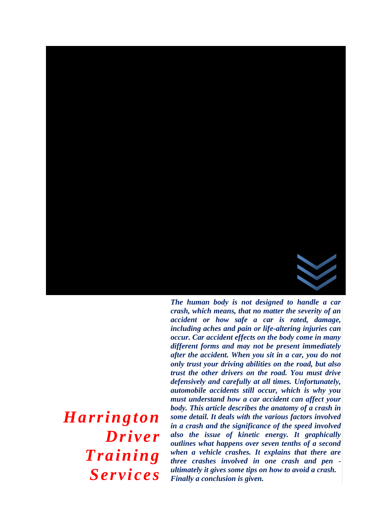

*crash, which means, that no matter the severity of an accident or how safe a car is rated, damage, including aches and pain or life-altering injuries can occur. Car accident effects on the body come in many different forms and may not be present immediately after the accident. When you sit in a car, you do not only trust your driving abilities on the road, but also trust the other drivers on the road. You must drive defensively and carefully at all times. Unfortunately, automobile accidents still occur, which is why you must understand how a car accident can affect your body. This article describes the anatomy of a crash in some detail. It deals with the various factors involved in a crash and the significance of the speed involved also the issue of kinetic energy. It graphically outlines what happens over seven tenths of a second when a vehicle crashes. It explains that there are three crashes involved in one crash and pen ultimately it gives some tips on how to avoid a crash. Finally a conclusion is given.*

*Harrington Driver Training Services*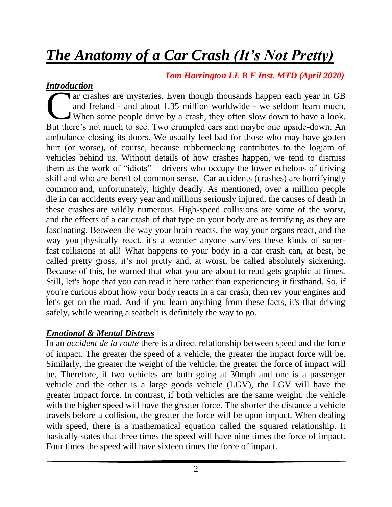# *The Anatomy of a Car Crash (It's Not Pretty)*

# *Tom Harrington LL B F Inst. MTD (April 2020)*

## *Introduction*

ar crashes are mysteries. Even though thousands happen each year in GB and Ireland - and about 1.35 million worldwide - we seldom learn much. When some people drive by a crash, they often slow down to have a look. ar crashes are mysteries. Even though thousands happen each year in GB and Ireland - and about 1.35 million worldwide - we seldom learn much.<br>When some people drive by a crash, they often slow down to have a look.<br>But ther ambulance closing its doors. We usually feel bad for those who may have gotten hurt (or worse), of course, because rubbernecking contributes to the logjam of vehicles behind us. Without details of how crashes happen, we tend to dismiss them as the work of "idiots" – drivers who occupy the lower echelons of driving skill and who are bereft of common sense. Car accidents (crashes) are horrifyingly common and, unfortunately, highly deadly. As mentioned, over a [million](http://asirt.org/initiatives/informing-road-users/road-safety-facts/road-crash-statistics) people die in car [accidents](http://asirt.org/initiatives/informing-road-users/road-safety-facts/road-crash-statistics) every year and millions seriously injured, the causes of death in these crashes are wildly numerous. High-speed collisions are some of the worst, and the effects of a car crash of that type on your body are as terrifying as they are fascinating. Between the way your brain reacts, the way your organs react, and the way you physically react, it's a wonder anyone survives these kinds of superfast collisions at all! What happens to your body in a car crash can, at best, be called pretty gross, it's not pretty and, at worst, be called absolutely sickening. Because of this, be warned that what you are about to read gets graphic at times. Still, let's hope that you can read it here rather than experiencing it firsthand. So, if you're curious about how your body reacts in a car crash, then rev your engines and let's get on the road. And if you learn anything from these facts, it's that driving safely, while wearing a seatbelt is definitely the way to go.

## *Emotional & Mental Distress*

In an *accident de la route* there is a direct relationship between speed and the force of impact. The greater the speed of a vehicle, the greater the impact force will be. Similarly, the greater the weight of the vehicle, the greater the force of impact will be. Therefore, if two vehicles are both going at 30mph and one is a passenger vehicle and the other is a large goods vehicle (LGV), the LGV will have the greater impact force. In contrast, if both vehicles are the same weight, the vehicle with the higher speed will have the greater force. The shorter the distance a vehicle travels before a collision, the greater the force will be upon impact. When dealing with speed, there is a mathematical equation called the squared relationship. It basically states that three times the speed will have nine times the force of impact. Four times the speed will have sixteen times the force of impact.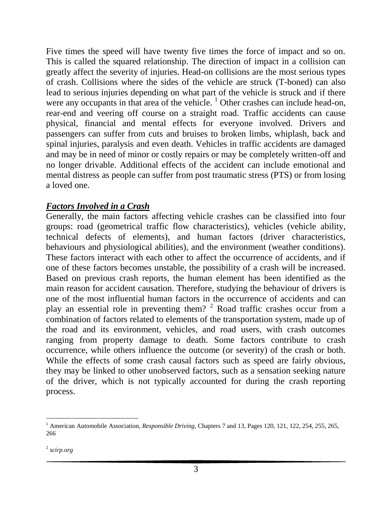Five times the speed will have twenty five times the force of impact and so on. This is called the squared relationship. The direction of impact in a collision can greatly affect the severity of injuries. Head-on collisions are the most serious types of crash. Collisions where the sides of the vehicle are struck (T-boned) can also lead to serious injuries depending on what part of the vehicle is struck and if there were any occupants in that area of the vehicle.  $\frac{1}{1}$  Other crashes can include head-on, rear-end and veering off course on a straight road. Traffic accidents can cause physical, financial and mental effects for everyone involved. Drivers and passengers can suffer from cuts and bruises to broken limbs, whiplash, back and spinal injuries, paralysis and even death. Vehicles in traffic accidents are damaged and may be in need of minor or costly repairs or may be completely written-off and no longer drivable. Additional effects of the accident can include emotional and mental distress as people can suffer from post traumatic stress (PTS) or from losing a loved one.

#### *Factors Involved in a Crash*

Generally, the main factors affecting vehicle crashes can be classified into four groups: road (geometrical traffic flow characteristics), vehicles (vehicle ability, technical defects of elements), and human factors (driver characteristics, behaviours and physiological abilities), and the environment (weather conditions). These factors interact with each other to affect the occurrence of accidents, and if one of these factors becomes unstable, the possibility of a crash will be increased. Based on previous crash reports, the human element has been identified as the main reason for accident causation. Therefore, studying the behaviour of drivers is one of the most influential human factors in the occurrence of accidents and can play an essential role in preventing them? <sup>2</sup> Road traffic crashes occur from a combination of factors related to elements of the transportation system, made up of the road and its environment, vehicles, and road users, with crash outcomes ranging from property damage to death. Some factors contribute to crash occurrence, while others influence the outcome (or severity) of the crash or both. While the effects of some crash causal factors such as speed are fairly obvious, they may be linked to other unobserved factors, such as a sensation seeking nature of the driver, which is not typically accounted for during the crash reporting process.

 $\overline{a}$ 

<sup>&</sup>lt;sup>1</sup> American Automobile Association, *Responsible Driving*, Chapters 7 and 13, Pages 120, 121, 122, 254, 255, 265, 266

<sup>2</sup> *scirp.org*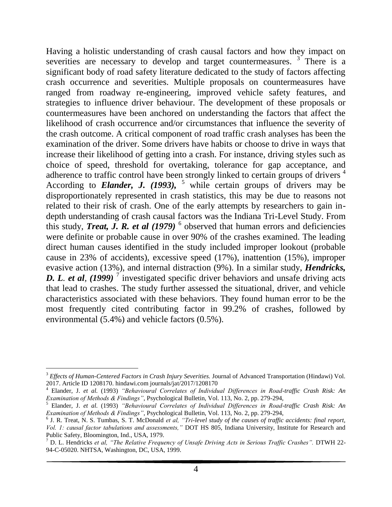Having a holistic understanding of crash causal factors and how they impact on severities are necessary to develop and target countermeasures.  $3$  There is a significant body of road safety literature dedicated to the study of factors affecting crash occurrence and severities. Multiple proposals on countermeasures have ranged from roadway re-engineering, improved vehicle safety features, and strategies to influence driver behaviour. The development of these proposals or countermeasures have been anchored on understanding the factors that affect the likelihood of crash occurrence and/or circumstances that influence the severity of the crash outcome. A critical component of road traffic crash analyses has been the examination of the driver. Some drivers have habits or choose to drive in ways that increase their likelihood of getting into a crash. For instance, driving styles such as choice of speed, threshold for overtaking, tolerance for gap acceptance, and adherence to traffic control have been strongly linked to certain groups of drivers<sup>4</sup> According to **Elander, J.** (1993),  $5$  while certain groups of drivers may be disproportionately represented in crash statistics, this may be due to reasons not related to their risk of crash. One of the early attempts by researchers to gain indepth understanding of crash causal factors was the Indiana Tri-Level Study. From this study, **Treat, J. R. et al**  $(1979)$ <sup>6</sup> observed that human errors and deficiencies were definite or probable cause in over 90% of the crashes examined. The leading direct human causes identified in the study included improper lookout (probable cause in 23% of accidents), excessive speed (17%), inattention (15%), improper evasive action (13%), and internal distraction (9%). In a similar study, *Hendricks,*  **D. L.** *et al*, (1999)<sup>7</sup> investigated specific driver behaviors and unsafe driving acts that lead to crashes. The study further assessed the situational, driver, and vehicle characteristics associated with these behaviors. They found human error to be the most frequently cited contributing factor in 99.2% of crashes, followed by environmental (5.4%) and vehicle factors (0.5%).

 $\overline{a}$ 

<sup>3</sup> *Effects of Human-Centered Factors in Crash Injury Severities.* Journal of Advanced Transportation (Hindawi) Vol. 2017. Article ID 1208170. hindawi.com journals/jat/2017/1208170

<sup>4</sup> Elander, J. *et al.* (1993) *"Behavioural Correlates of Individual Differences in Road-traffic Crash Risk: An Examination of Methods & Findings"*, Psychological Bulletin, Vol. 113, No. 2, pp. 279-294,

<sup>5</sup> Elander, J. *et al.* (1993) *"Behavioural Correlates of Individual Differences in Road-traffic Crash Risk: An Examination of Methods & Findings"*, Psychological Bulletin, Vol. 113, No. 2, pp. 279-294,

<sup>6</sup> J. R. Treat, N. S. Tumbas, S. T. McDonald *et al, "Tri-level study of the causes of traffic accidents: final report, Vol. 1: causal factor tabulations and assessments,"* DOT HS 805, Indiana University, Institute for Research and Public Safety, Bloomington, Ind., USA, 1979.

<sup>7</sup> D. L. Hendricks *et al, "The Relative Frequency of Unsafe Driving Acts in Serious Traffic Crashes".* DTWH 22- 94-C-05020. NHTSA, Washington, DC, USA, 1999.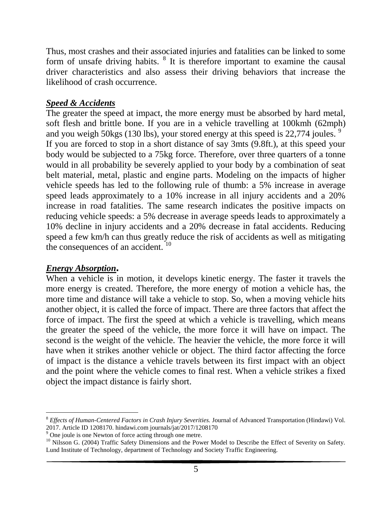Thus, most crashes and their associated injuries and fatalities can be linked to some form of unsafe driving habits.  $8$  It is therefore important to examine the causal driver characteristics and also assess their driving behaviors that increase the likelihood of crash occurrence.

### *Speed & Accidents*

The greater the speed at impact, the more energy must be absorbed by hard metal, soft flesh and brittle bone. If you are in a vehicle travelling at 100kmh (62mph) and you weigh 50kgs (130 lbs), your stored energy at this speed is 22,774 joules.<sup>9</sup> If you are forced to stop in a short distance of say 3mts (9.8ft.), at this speed your body would be subjected to a 75kg force. Therefore, over three quarters of a tonne would in all probability be severely applied to your body by a combination of seat belt material, metal, plastic and engine parts. Modeling on the impacts of higher vehicle speeds has led to the following rule of thumb: a 5% increase in average speed leads approximately to a 10% increase in all injury accidents and a 20% increase in road fatalities. The same research indicates the positive impacts on reducing vehicle speeds: a 5% decrease in average speeds leads to approximately a 10% decline in injury accidents and a 20% decrease in fatal accidents. Reducing speed a few km/h can thus greatly reduce the risk of accidents as well as mitigating the consequences of an accident.<sup>10</sup>

#### *Energy Absorption***.**

When a vehicle is in motion, it develops kinetic energy. The faster it travels the more energy is created. Therefore, the more energy of motion a vehicle has, the more time and distance will take a vehicle to stop. So, when a moving vehicle hits another object, it is called the force of impact. There are three factors that affect the force of impact. The first the speed at which a vehicle is travelling, which means the greater the speed of the vehicle, the more force it will have on impact. The second is the weight of the vehicle. The heavier the vehicle, the more force it will have when it strikes another vehicle or object. The third factor affecting the force of impact is the distance a vehicle travels between its first impact with an object and the point where the vehicle comes to final rest. When a vehicle strikes a fixed object the impact distance is fairly short.

 $\overline{a}$ <sup>8</sup> *Effects of Human-Centered Factors in Crash Injury Severities.* Journal of Advanced Transportation (Hindawi) Vol. 2017. Article ID 1208170. hindawi.com journals/jat/2017/1208170

 $9^9$  One joule is one Newton of force acting through one metre.

<sup>&</sup>lt;sup>10</sup> Nilsson G. (2004) Traffic Safety Dimensions and the Power Model to Describe the Effect of Severity on Safety. Lund Institute of Technology, department of Technology and Society Traffic Engineering.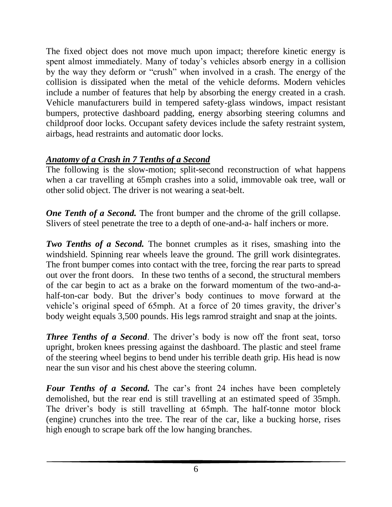The fixed object does not move much upon impact; therefore kinetic energy is spent almost immediately. Many of today's vehicles absorb energy in a collision by the way they deform or "crush" when involved in a crash. The energy of the collision is dissipated when the metal of the vehicle deforms. Modern vehicles include a number of features that help by absorbing the energy created in a crash. Vehicle manufacturers build in tempered safety-glass windows, impact resistant bumpers, protective dashboard padding, energy absorbing steering columns and childproof door locks. Occupant safety devices include the safety restraint system, airbags, head restraints and automatic door locks.

## *Anatomy of a Crash in 7 Tenths of a Second*

The following is the slow-motion; split-second reconstruction of what happens when a car travelling at 65mph crashes into a solid, immovable oak tree, wall or other solid object. The driver is not wearing a seat-belt.

*One Tenth of a Second.* The front bumper and the chrome of the grill collapse. Slivers of steel penetrate the tree to a depth of one-and-a- half inchers or more.

*Two Tenths of a Second.* The bonnet crumples as it rises, smashing into the windshield. Spinning rear wheels leave the ground. The grill work disintegrates. The front bumper comes into contact with the tree, forcing the rear parts to spread out over the front doors. In these two tenths of a second, the structural members of the car begin to act as a brake on the forward momentum of the two-and-ahalf-ton-car body. But the driver's body continues to move forward at the vehicle's original speed of 65mph. At a force of 20 times gravity, the driver's body weight equals 3,500 pounds. His legs ramrod straight and snap at the joints.

*Three Tenths of a Second.* The driver's body is now off the front seat, torso upright, broken knees pressing against the dashboard. The plastic and steel frame of the steering wheel begins to bend under his terrible death grip. His head is now near the sun visor and his chest above the steering column.

Four Tenths of a Second. The car's front 24 inches have been completely demolished, but the rear end is still travelling at an estimated speed of 35mph. The driver's body is still travelling at 65mph. The half-tonne motor block (engine) crunches into the tree. The rear of the car, like a bucking horse, rises high enough to scrape bark off the low hanging branches.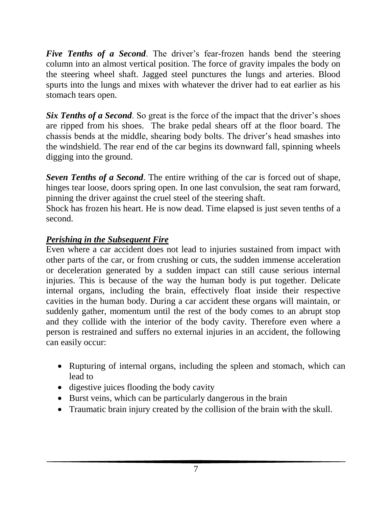*Five Tenths of a Second.* The driver's fear-frozen hands bend the steering column into an almost vertical position. The force of gravity impales the body on the steering wheel shaft. Jagged steel punctures the lungs and arteries. Blood spurts into the lungs and mixes with whatever the driver had to eat earlier as his stomach tears open.

*Six Tenths of a Second.* So great is the force of the impact that the driver's shoes are ripped from his shoes. The brake pedal shears off at the floor board. The chassis bends at the middle, shearing body bolts. The driver's head smashes into the windshield. The rear end of the car begins its downward fall, spinning wheels digging into the ground.

*Seven Tenths of a Second*. The entire writhing of the car is forced out of shape, hinges tear loose, doors spring open. In one last convulsion, the seat ram forward, pinning the driver against the cruel steel of the steering shaft.

Shock has frozen his heart. He is now dead. Time elapsed is just seven tenths of a second.

#### *Perishing in the Subsequent Fire*

Even where a car accident does not lead to injuries sustained from impact with other parts of the car, or from crushing or cuts, the sudden immense acceleration or deceleration generated by a sudden impact can still cause serious internal injuries. This is because of the way the human body is put together. Delicate internal organs, including the brain, effectively float inside their respective cavities in the human body. During a car accident these organs will maintain, or suddenly gather, momentum until the rest of the body comes to an abrupt stop and they collide with the interior of the body cavity. Therefore even where a person is restrained and suffers no external injuries in an accident, the following can easily occur:

- Rupturing of internal organs, including the spleen and stomach, which can lead to
- digestive juices flooding the body cavity
- Burst veins, which can be particularly dangerous in the brain
- Traumatic brain injury created by the collision of the brain with the skull.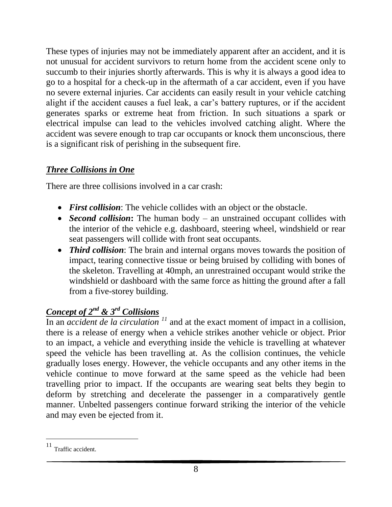These types of injuries may not be immediately apparent after an accident, and it is not unusual for accident survivors to return home from the accident scene only to succumb to their injuries shortly afterwards. This is why it is always a good idea to go to a hospital for a check-up in the aftermath of a car accident, even if you have no severe external injuries. Car accidents can easily result in your vehicle catching alight if the accident causes a fuel leak, a car's battery ruptures, or if the accident generates sparks or extreme heat from friction. In such situations a spark or electrical impulse can lead to the vehicles involved catching alight. Where the accident was severe enough to trap car occupants or knock them unconscious, there is a significant risk of perishing in the subsequent fire.

# *Three Collisions in One*

There are three collisions involved in a car crash:

- *First collision*: The vehicle collides with an object or the obstacle.
- *Second collision***:** The human body an unstrained occupant collides with the interior of the vehicle e.g. dashboard, steering wheel, windshield or rear seat passengers will collide with front seat occupants.
- *Third collision*: The brain and internal organs moves towards the position of impact, tearing connective tissue or being bruised by colliding with bones of the skeleton. Travelling at 40mph, an unrestrained occupant would strike the windshield or dashboard with the same force as hitting the ground after a fall from a five-storey building.

# *Concept of 2nd & 3rd Collisions*

In an *accident de la circulation*  $<sup>11</sup>$  and at the exact moment of impact in a collision,</sup> there is a release of energy when a vehicle strikes another vehicle or object. Prior to an impact, a vehicle and everything inside the vehicle is travelling at whatever speed the vehicle has been travelling at. As the collision continues, the vehicle gradually loses energy. However, the vehicle occupants and any other items in the vehicle continue to move forward at the same speed as the vehicle had been travelling prior to impact. If the occupants are wearing seat belts they begin to deform by stretching and decelerate the passenger in a comparatively gentle manner. Unbelted passengers continue forward striking the interior of the vehicle and may even be ejected from it.

l

<sup>&</sup>lt;sup>11</sup> Traffic accident.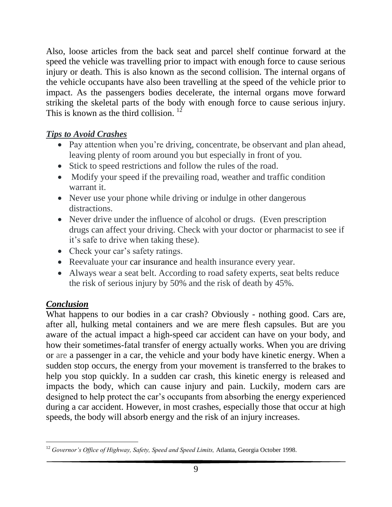Also, loose articles from the back seat and parcel shelf continue forward at the speed the vehicle was travelling prior to impact with enough force to cause serious injury or death. This is also known as the second collision. The internal organs of the vehicle occupants have also been travelling at the speed of the vehicle prior to impact. As the passengers bodies decelerate, the internal organs move forward striking the skeletal parts of the body with enough force to cause serious injury. This is known as the third collision.<sup>12</sup>

## *Tips to Avoid Crashes*

- Pay attention when you're driving, concentrate, be observant and plan ahead, leaving plenty of room around you but especially in front of you.
- Stick to speed restrictions and follow the rules of the road.
- Modify your speed if the prevailing road, weather and traffic condition warrant it.
- Never use your phone while driving or indulge in other dangerous distractions.
- Never drive under the influence of alcohol or drugs. (Even prescription drugs can affect your driving. Check with your doctor or pharmacist to see if it's safe to drive when taking these).
- Check your car's safety ratings.
- Reevaluate your [car insurance](https://www.finder.com/car-insurance) and health insurance every year.
- Always wear a seat belt. According to road safety experts, seat belts reduce the risk of serious injury by 50% and the risk of death by 45%.

## *Conclusion*

What happens to our bodies in a car crash? Obviously - nothing good. Cars are, after all, hulking metal containers and we are mere flesh capsules. But are you aware of the actual impact a high-speed car accident can have on your body, and how their sometimes-fatal transfer of energy actually works. When you are driving or are a passenger in a car, the vehicle and your body have kinetic energy. When a sudden stop occurs, the energy from your movement is transferred to the brakes to help you stop quickly. In a sudden car crash, this kinetic energy is released and impacts the body, which can cause injury and pain. Luckily, modern cars are designed to help protect the car's occupants from absorbing the energy experienced during a car accident. However, in most crashes, especially those that occur at high speeds, the body will absorb energy and the risk of an injury increases.

 $\overline{a}$ <sup>12</sup> *Governor's Office of Highway, Safety, Speed and Speed Limits,* Atlanta, Georgia October 1998.